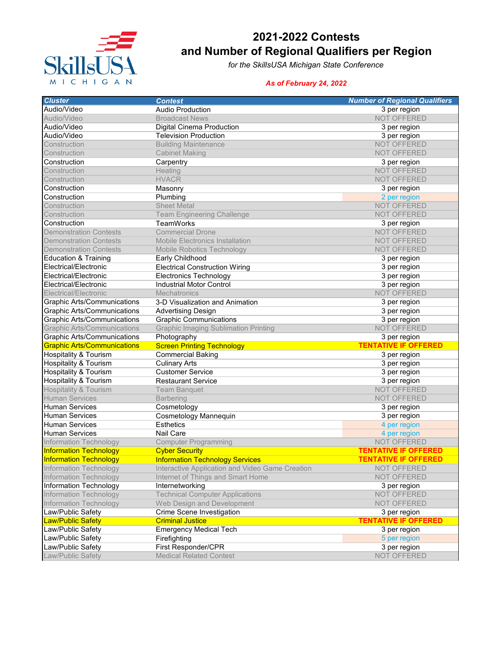

## **2021-2022 Contests and Number of Regional Qualifiers per Region**

*for the SkillsUSA Michigan State Conference*

## *As of February 24, 2022*

| <b>Cluster</b>                     | <b>Contest</b>                                       | <b>Number of Regional Qualifiers</b>        |
|------------------------------------|------------------------------------------------------|---------------------------------------------|
| Audio/Video                        | <b>Audio Production</b>                              | 3 per region                                |
| Audio/Video                        | <b>Broadcast News</b>                                | NOT OFFERED                                 |
| Audio/Video                        | Digital Cinema Production                            | 3 per region                                |
| Audio/Video                        | <b>Television Production</b>                         | 3 per region                                |
| Construction                       | <b>Building Maintenance</b>                          | NOT OFFERED                                 |
| Construction                       | <b>Cabinet Making</b>                                | NOT OFFERED                                 |
| Construction                       | Carpentry                                            | 3 per region                                |
| Construction                       | Heating                                              | NOT OFFERED                                 |
| Construction                       | <b>HVACR</b>                                         | NOT OFFERED                                 |
| Construction                       | Masonry                                              | 3 per region                                |
| Construction                       | Plumbing                                             | 2 per region                                |
| Construction                       | <b>Sheet Metal</b>                                   | NOT OFFERED                                 |
| Construction                       | <b>Team Engineering Challenge</b>                    | <b>NOT OFFERED</b>                          |
| Construction                       | <b>TeamWorks</b>                                     | 3 per region                                |
| <b>Demonstration Contests</b>      | <b>Commercial Drone</b>                              | NOT OFFERED                                 |
| <b>Demonstration Contests</b>      | <b>Mobile Electronics Installation</b>               | <b>NOT OFFERED</b>                          |
| <b>Demonstration Contests</b>      | <b>Mobile Robotics Technology</b>                    | NOT OFFERED                                 |
| <b>Education &amp; Training</b>    | Early Childhood                                      | 3 per region                                |
| Electrical/Electronic              | <b>Electrical Construction Wiring</b>                | 3 per region                                |
| Electrical/Electronic              | <b>Electronics Technology</b>                        | 3 per region                                |
| Electrical/Electronic              | <b>Industrial Motor Control</b>                      | 3 per region                                |
| Electrical/Electronic              | <b>Mechatronics</b>                                  | NOT OFFERED                                 |
| <b>Graphic Arts/Communications</b> | 3-D Visualization and Animation                      | 3 per region                                |
| <b>Graphic Arts/Communications</b> | <b>Advertising Design</b>                            | 3 per region                                |
| <b>Graphic Arts/Communications</b> | <b>Graphic Communications</b>                        | 3 per region                                |
| <b>Graphic Arts/Communications</b> | <b>Graphic Imaging Sublimation Printing</b>          | <b>NOT OFFERED</b>                          |
| Graphic Arts/Communications        | Photography                                          | 3 per region                                |
| <b>Graphic Arts/Communications</b> | <b>Screen Printing Technology</b>                    | <b>TENTATIVE IF OFFERED</b>                 |
| <b>Hospitality &amp; Tourism</b>   | <b>Commercial Baking</b>                             | 3 per region                                |
| Hospitality & Tourism              | <b>Culinary Arts</b>                                 | 3 per region                                |
| Hospitality & Tourism              | <b>Customer Service</b>                              | 3 per region                                |
| <b>Hospitality &amp; Tourism</b>   | <b>Restaurant Service</b>                            | 3 per region                                |
| <b>Hospitality &amp; Tourism</b>   | <b>Team Banquet</b>                                  | <b>NOT OFFERED</b>                          |
| <b>Human Services</b>              | <b>Barbering</b>                                     | NOT OFFERED                                 |
| <b>Human Services</b>              | Cosmetology                                          | 3 per region                                |
| <b>Human Services</b>              | Cosmetology Mannequin                                | 3 per region                                |
| <b>Human Services</b>              | <b>Esthetics</b>                                     | 4 per region                                |
| <b>Human Services</b>              | <b>Nail Care</b>                                     | 4 per region                                |
| <b>Information Technology</b>      | <b>Computer Programming</b>                          | <b>NOT OFFERED</b>                          |
| <b>Information Technology</b>      | <b>Cyber Security</b>                                | <b>TENTATIVE IF OFFERED</b>                 |
| <b>Information Technology</b>      | <b>Information Technology Services</b>               | <b>TENTATIVE IF OFFERED</b>                 |
| Information Technology             | Interactive Application and Video Game Creation      | NOT OFFERED                                 |
| <b>Information Technology</b>      | Internet of Things and Smart Home                    | NOT OFFERED                                 |
| Information Technology             | Internetworking                                      |                                             |
| <b>Information Technology</b>      | <b>Technical Computer Applications</b>               | 3 per region<br>NOT OFFERED                 |
|                                    | Web Design and Development                           |                                             |
| Information Technology             |                                                      | NOT OFFERED                                 |
| Law/Public Safety                  | Crime Scene Investigation<br><b>Criminal Justice</b> | 3 per region<br><b>TENTATIVE IF OFFERED</b> |
| <b>Law/Public Safety</b>           |                                                      |                                             |
| Law/Public Safety                  | <b>Emergency Medical Tech</b>                        | 3 per region                                |
| Law/Public Safety                  | Firefighting                                         | 5 per region                                |
| Law/Public Safety                  | First Responder/CPR                                  | 3 per region                                |
| Law/Public Safety                  | <b>Medical Related Contest</b>                       | NOT OFFERED                                 |